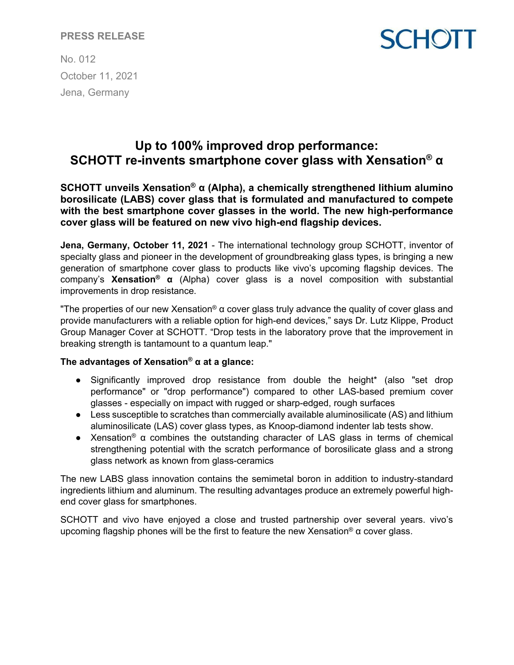# **PRESS RELEASE**

**SCHOTT** 

No. 012 October 11, 2021 Jena, Germany

# **Up to 100% improved drop performance: SCHOTT re-invents smartphone cover glass with Xensation® α**

**SCHOTT unveils Xensation® α (Alpha), a chemically strengthened lithium alumino borosilicate (LABS) cover glass that is formulated and manufactured to compete with the best smartphone cover glasses in the world. The new high-performance cover glass will be featured on new vivo high-end flagship devices.**

**Jena, Germany, October 11, 2021** - The international technology group SCHOTT, inventor of specialty glass and pioneer in the development of groundbreaking glass types, is bringing a new generation of smartphone cover glass to products like vivo's upcoming flagship devices. The company's **Xensation® α** (Alpha) cover glass is a novel composition with substantial improvements in drop resistance.

"The properties of our new Xensation®  $\alpha$  cover glass truly advance the quality of cover glass and provide manufacturers with a reliable option for high-end devices," says Dr. Lutz Klippe, Product Group Manager Cover at SCHOTT. "Drop tests in the laboratory prove that the improvement in breaking strength is tantamount to a quantum leap."

### **The advantages of Xensation® α at a glance:**

- Significantly improved drop resistance from double the height\* (also "set drop performance" or "drop performance") compared to other LAS-based premium cover glasses - especially on impact with rugged or sharp-edged, rough surfaces
- Less susceptible to scratches than commercially available aluminosilicate (AS) and lithium aluminosilicate (LAS) cover glass types, as Knoop-diamond indenter lab tests show.
- Xensation<sup>®</sup> α combines the outstanding character of LAS glass in terms of chemical strengthening potential with the scratch performance of borosilicate glass and a strong glass network as known from glass-ceramics

The new LABS glass innovation contains the semimetal boron in addition to industry-standard ingredients lithium and aluminum. The resulting advantages produce an extremely powerful highend cover glass for smartphones.

SCHOTT and vivo have enjoyed a close and trusted partnership over several years. vivo's upcoming flagship phones will be the first to feature the new Xensation<sup>®</sup> α cover glass.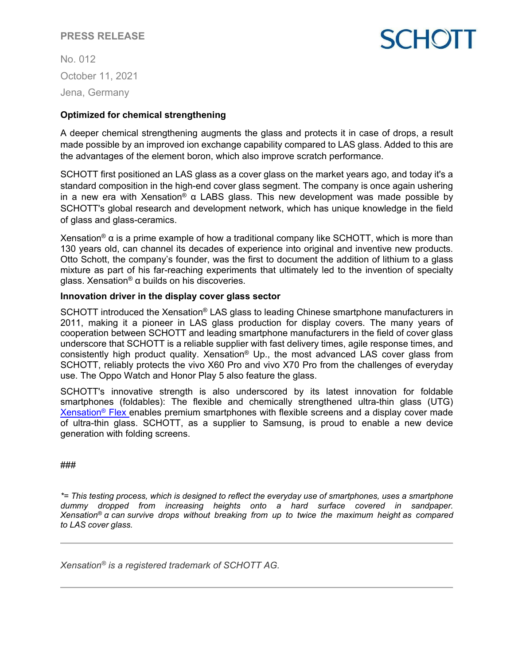# **PRESS RELEASE**

No. 012 October 11, 2021 Jena, Germany

# **SCHOTT**

### **Optimized for chemical strengthening**

A deeper chemical strengthening augments the glass and protects it in case of drops, a result made possible by an improved ion exchange capability compared to LAS glass. Added to this are the advantages of the element boron, which also improve scratch performance.

SCHOTT first positioned an LAS glass as a cover glass on the market years ago, and today it's a standard composition in the high-end cover glass segment. The company is once again ushering in a new era with Xensation® α LABS glass. This new development was made possible by SCHOTT's global research and development network, which has unique knowledge in the field of glass and glass-ceramics.

Xensation<sup>®</sup> α is a prime example of how a traditional company like SCHOTT, which is more than 130 years old, can channel its decades of experience into original and inventive new products. Otto Schott, the company's founder, was the first to document the addition of lithium to a glass mixture as part of his far-reaching experiments that ultimately led to the invention of specialty glass. Xensation<sup>®</sup> α builds on his discoveries.

### **Innovation driver in the display cover glass sector**

SCHOTT introduced the Xensation® LAS glass to leading Chinese smartphone manufacturers in 2011, making it a pioneer in LAS glass production for display covers. The many years of cooperation between SCHOTT and leading smartphone manufacturers in the field of cover glass underscore that SCHOTT is a reliable supplier with fast delivery times, agile response times, and consistently high product quality. Xensation® Up., the most advanced LAS cover glass from SCHOTT, reliably protects the vivo X60 Pro and vivo X70 Pro from the challenges of everyday use. The Oppo Watch and Honor Play 5 also feature the glass.

SCHOTT's innovative strength is also underscored by its latest innovation for foldable smartphones (foldables): The flexible and chemically strengthened ultra-thin glass (UTG) [Xensation®](https://www.schott.com/innovation/de/xensation-flex/) [Flex e](https://www.schott.com/innovation/de/xensation-flex/)nables premium smartphones with flexible screens and a display cover made of ultra-thin glass. SCHOTT, as a supplier to Samsung, is proud to enable a new device generation with folding screens.

###

*\*= This testing process, which is designed to reflect the everyday use of smartphones, uses a smartphone dummy dropped from increasing heights onto a hard surface covered in sandpaper. Xensation® α can survive drops without breaking from up to twice the maximum height as compared to LAS cover glass.*

*Xensation® is a registered trademark of SCHOTT AG.*